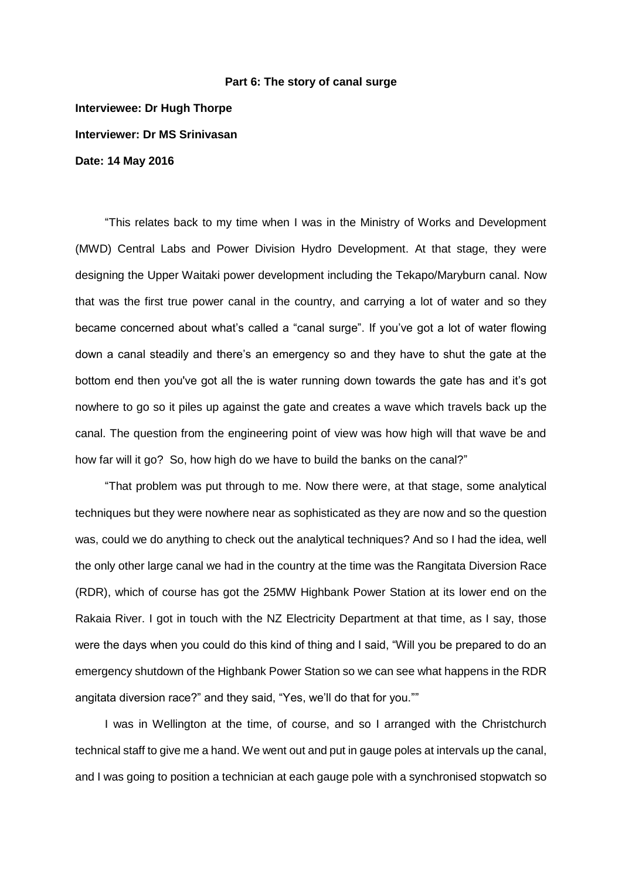## **Part 6: The story of canal surge**

**Interviewee: Dr Hugh Thorpe Interviewer: Dr MS Srinivasan Date: 14 May 2016**

"This relates back to my time when I was in the Ministry of Works and Development (MWD) Central Labs and Power Division Hydro Development. At that stage, they were designing the Upper Waitaki power development including the Tekapo/Maryburn canal. Now that was the first true power canal in the country, and carrying a lot of water and so they became concerned about what's called a "canal surge". If you've got a lot of water flowing down a canal steadily and there's an emergency so and they have to shut the gate at the bottom end then you've got all the is water running down towards the gate has and it's got nowhere to go so it piles up against the gate and creates a wave which travels back up the canal. The question from the engineering point of view was how high will that wave be and how far will it go? So, how high do we have to build the banks on the canal?"

"That problem was put through to me. Now there were, at that stage, some analytical techniques but they were nowhere near as sophisticated as they are now and so the question was, could we do anything to check out the analytical techniques? And so I had the idea, well the only other large canal we had in the country at the time was the Rangitata Diversion Race (RDR), which of course has got the 25MW Highbank Power Station at its lower end on the Rakaia River. I got in touch with the NZ Electricity Department at that time, as I say, those were the days when you could do this kind of thing and I said, "Will you be prepared to do an emergency shutdown of the Highbank Power Station so we can see what happens in the RDR angitata diversion race?" and they said, "Yes, we'll do that for you.""

I was in Wellington at the time, of course, and so I arranged with the Christchurch technical staff to give me a hand. We went out and put in gauge poles at intervals up the canal, and I was going to position a technician at each gauge pole with a synchronised stopwatch so